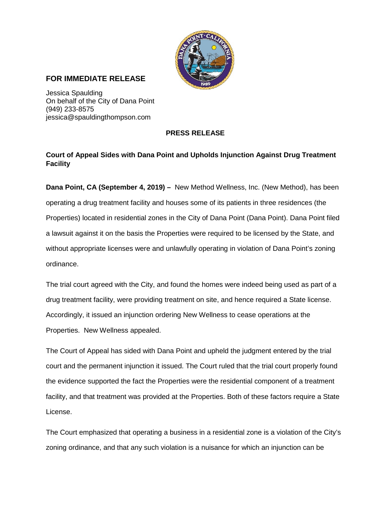

## **FOR IMMEDIATE RELEASE**

Jessica Spaulding On behalf of the City of Dana Point (949) 233-8575 jessica@spauldingthompson.com

## **PRESS RELEASE**

## **Court of Appeal Sides with Dana Point and Upholds Injunction Against Drug Treatment Facility**

**Dana Point, CA (September 4, 2019) –** New Method Wellness, Inc. (New Method), has been operating a drug treatment facility and houses some of its patients in three residences (the Properties) located in residential zones in the City of Dana Point (Dana Point). Dana Point filed a lawsuit against it on the basis the Properties were required to be licensed by the State, and without appropriate licenses were and unlawfully operating in violation of Dana Point's zoning ordinance.

The trial court agreed with the City, and found the homes were indeed being used as part of a drug treatment facility, were providing treatment on site, and hence required a State license. Accordingly, it issued an injunction ordering New Wellness to cease operations at the Properties. New Wellness appealed.

The Court of Appeal has sided with Dana Point and upheld the judgment entered by the trial court and the permanent injunction it issued. The Court ruled that the trial court properly found the evidence supported the fact the Properties were the residential component of a treatment facility, and that treatment was provided at the Properties. Both of these factors require a State License.

The Court emphasized that operating a business in a residential zone is a violation of the City's zoning ordinance, and that any such violation is a nuisance for which an injunction can be